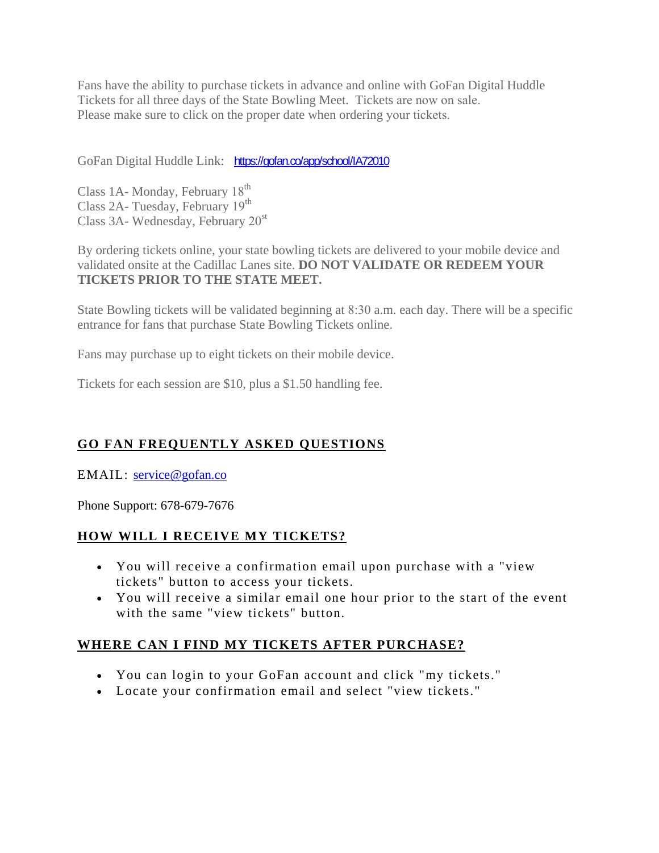Fans have the ability to purchase tickets in advance and online with GoFan Digital Huddle Tickets for all three days of the State Bowling Meet. Tickets are now on sale. Please make sure to click on the proper date when ordering your tickets.

GoFan Digital Huddle Link: https://gofan.co/app/school/IA72010

Class 1A- Monday, February 18<sup>th</sup> Class 2A- Tuesday, February  $19<sup>th</sup>$ Class 3A- Wednesday, February  $20<sup>st</sup>$ 

By ordering tickets online, your state bowling tickets are delivered to your mobile device and validated onsite at the Cadillac Lanes site. **DO NOT VALIDATE OR REDEEM YOUR TICKETS PRIOR TO THE STATE MEET.**

State Bowling tickets will be validated beginning at 8:30 a.m. each day. There will be a specific entrance for fans that purchase State Bowling Tickets online.

Fans may purchase up to eight tickets on their mobile device.

Tickets for each session are \$10, plus a \$1.50 handling fee.

### **GO FAN FREQUENTLY ASKED QUESTIONS**

EMAIL: service@gofan.co

Phone Support: 678-679-7676

#### **HOW WILL I RECEIVE MY TICKETS?**

- You will receive a confirmation email upon purchase with a "view tickets" button to access your tickets.
- You will receive a similar email one hour prior to the start of the event with the same "view tickets" button.

### **WHERE CAN I FIND MY TICKETS AFTER PURCHASE?**

- You can login to your GoFan account and click "my tickets."
- Locate your confirmation email and select "view tickets."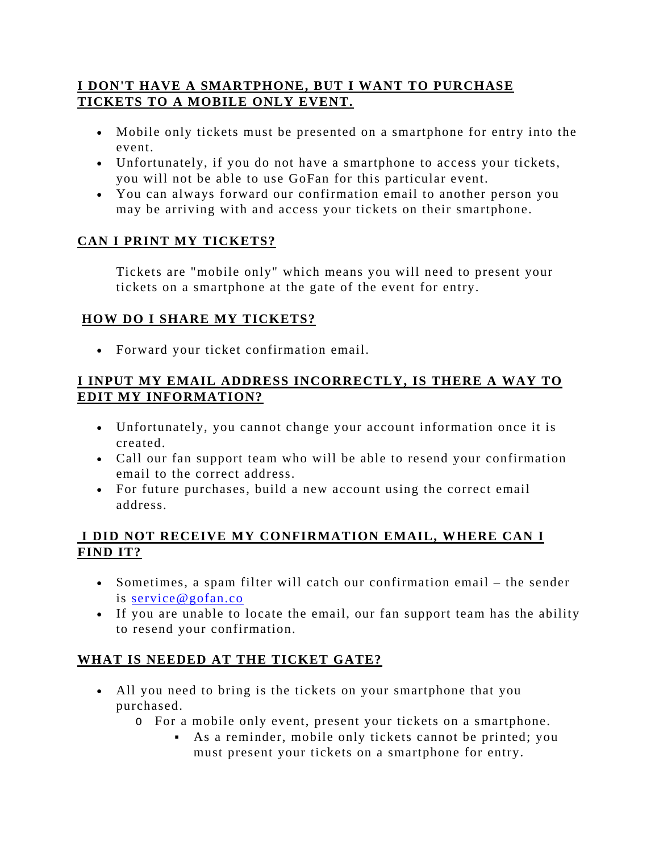### **I DON'T HAVE A SMARTPHONE, BUT I WANT TO PURCHASE TICKETS TO A MOBILE ONLY EVENT.**

- Mobile only tickets must be presented on a smartphone for entry into the event.
- Unfortunately, if you do not have a smartphone to access your tickets, you will not be able to use GoFan for this particular event.
- You can always forward our confirmation email to another person you may be arriving with and access your tickets on their smartphone.

# **CAN I PRINT MY TICKETS?**

Tickets are "mobile only" which means you will need to present your tickets on a smartphone at the gate of the event for entry.

# **HOW DO I SHARE MY TICKETS?**

• Forward your ticket confirmation email.

### **I INPUT MY EMAIL ADDRESS INCORRECTLY, IS THERE A WAY TO EDIT MY INFORMATION?**

- Unfortunately, you cannot change your account information once it is created.
- Call our fan support team who will be able to resend your confirmation email to the correct address.
- For future purchases, build a new account using the correct email address.

### **I DID NOT RECEIVE MY CONFIRMATION EMAIL, WHERE CAN I FIND IT?**

- Sometimes, a spam filter will catch our confirmation email the sender is service@gofan.co
- If you are unable to locate the email, our fan support team has the ability to resend your confirmation.

### **WHAT IS NEEDED AT THE TICKET GATE?**

- All you need to bring is the tickets on your smartphone that you purchased.
	- O For a mobile only event, present your tickets on a smartphone.
		- As a reminder, mobile only tickets cannot be printed; you must present your tickets on a smartphone for entry.